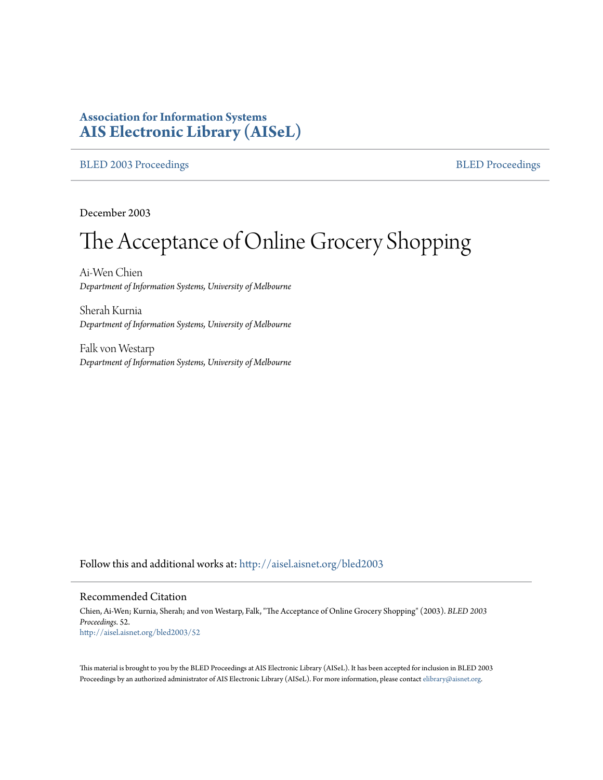# **Association for Information Systems [AIS Electronic Library \(AISeL\)](http://aisel.aisnet.org?utm_source=aisel.aisnet.org%2Fbled2003%2F52&utm_medium=PDF&utm_campaign=PDFCoverPages)**

## [BLED 2003 Proceedings](http://aisel.aisnet.org/bled2003?utm_source=aisel.aisnet.org%2Fbled2003%2F52&utm_medium=PDF&utm_campaign=PDFCoverPages) and the state of the state of the [BLED Proceedings](http://aisel.aisnet.org/bled?utm_source=aisel.aisnet.org%2Fbled2003%2F52&utm_medium=PDF&utm_campaign=PDFCoverPages) and the BLED Proceedings and the BLED Proceedings and the BLED Proceedings and the BLED Proceedings and the BLED Proceedings and the BLED Proceedings

December 2003

# The Acceptance of Online Grocery Shopping

Ai-Wen Chien *Department of Information Systems, University of Melbourne*

Sherah Kurnia *Department of Information Systems, University of Melbourne*

Falk von Westarp *Department of Information Systems, University of Melbourne*

Follow this and additional works at: [http://aisel.aisnet.org/bled2003](http://aisel.aisnet.org/bled2003?utm_source=aisel.aisnet.org%2Fbled2003%2F52&utm_medium=PDF&utm_campaign=PDFCoverPages)

#### Recommended Citation

Chien, Ai-Wen; Kurnia, Sherah; and von Westarp, Falk, "The Acceptance of Online Grocery Shopping" (2003). *BLED 2003 Proceedings*. 52. [http://aisel.aisnet.org/bled2003/52](http://aisel.aisnet.org/bled2003/52?utm_source=aisel.aisnet.org%2Fbled2003%2F52&utm_medium=PDF&utm_campaign=PDFCoverPages)

This material is brought to you by the BLED Proceedings at AIS Electronic Library (AISeL). It has been accepted for inclusion in BLED 2003 Proceedings by an authorized administrator of AIS Electronic Library (AISeL). For more information, please contact [elibrary@aisnet.org](mailto:elibrary@aisnet.org%3E).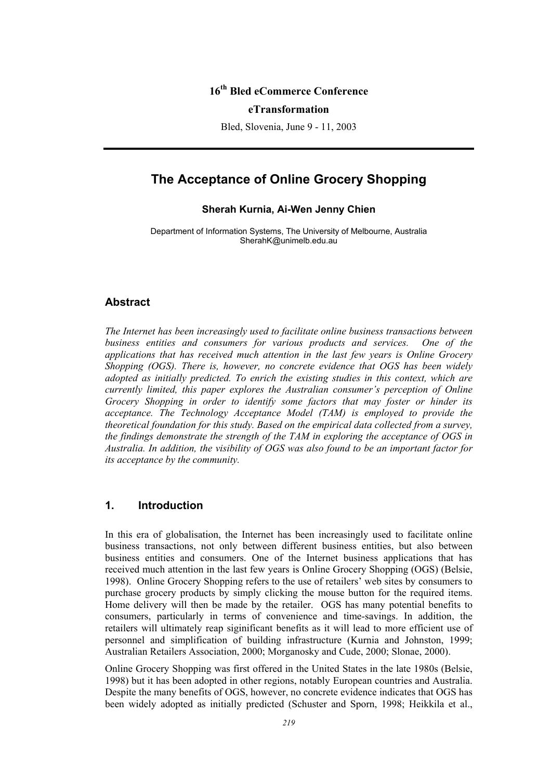## **16th Bled eCommerce Conference**

#### **eTransformation**

Bled, Slovenia, June 9 - 11, 2003

# **The Acceptance of Online Grocery Shopping**

## **Sherah Kurnia, Ai-Wen Jenny Chien**

Department of Information Systems, The University of Melbourne, Australia SherahK@unimelb.edu.au

## **Abstract**

*The Internet has been increasingly used to facilitate online business transactions between business entities and consumers for various products and services. One of the applications that has received much attention in the last few years is Online Grocery Shopping (OGS). There is, however, no concrete evidence that OGS has been widely adopted as initially predicted. To enrich the existing studies in this context, which are currently limited, this paper explores the Australian consumer's perception of Online Grocery Shopping in order to identify some factors that may foster or hinder its acceptance. The Technology Acceptance Model (TAM) is employed to provide the theoretical foundation for this study. Based on the empirical data collected from a survey, the findings demonstrate the strength of the TAM in exploring the acceptance of OGS in Australia. In addition, the visibility of OGS was also found to be an important factor for its acceptance by the community.* 

## **1. Introduction**

In this era of globalisation, the Internet has been increasingly used to facilitate online business transactions, not only between different business entities, but also between business entities and consumers. One of the Internet business applications that has received much attention in the last few years is Online Grocery Shopping (OGS) (Belsie, 1998). Online Grocery Shopping refers to the use of retailers' web sites by consumers to purchase grocery products by simply clicking the mouse button for the required items. Home delivery will then be made by the retailer. OGS has many potential benefits to consumers, particularly in terms of convenience and time-savings. In addition, the retailers will ultimately reap siginificant benefits as it will lead to more efficient use of personnel and simplification of building infrastructure (Kurnia and Johnston, 1999; Australian Retailers Association, 2000; Morganosky and Cude, 2000; Slonae, 2000).

Online Grocery Shopping was first offered in the United States in the late 1980s (Belsie, 1998) but it has been adopted in other regions, notably European countries and Australia. Despite the many benefits of OGS, however, no concrete evidence indicates that OGS has been widely adopted as initially predicted (Schuster and Sporn, 1998; Heikkila et al.,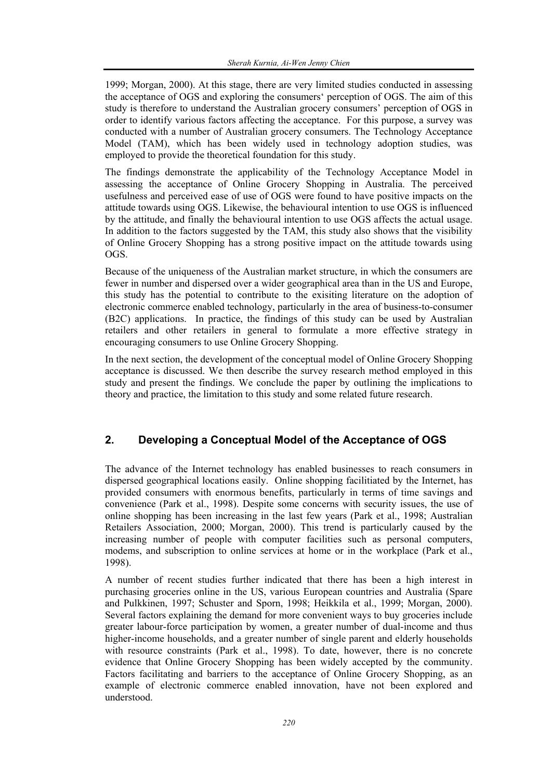1999; Morgan, 2000). At this stage, there are very limited studies conducted in assessing the acceptance of OGS and exploring the consumers' perception of OGS. The aim of this study is therefore to understand the Australian grocery consumers' perception of OGS in order to identify various factors affecting the acceptance. For this purpose, a survey was conducted with a number of Australian grocery consumers. The Technology Acceptance Model (TAM), which has been widely used in technology adoption studies, was employed to provide the theoretical foundation for this study.

The findings demonstrate the applicability of the Technology Acceptance Model in assessing the acceptance of Online Grocery Shopping in Australia. The perceived usefulness and perceived ease of use of OGS were found to have positive impacts on the attitude towards using OGS. Likewise, the behavioural intention to use OGS is influenced by the attitude, and finally the behavioural intention to use OGS affects the actual usage. In addition to the factors suggested by the TAM, this study also shows that the visibility of Online Grocery Shopping has a strong positive impact on the attitude towards using OGS.

Because of the uniqueness of the Australian market structure, in which the consumers are fewer in number and dispersed over a wider geographical area than in the US and Europe, this study has the potential to contribute to the exisiting literature on the adoption of electronic commerce enabled technology, particularly in the area of business-to-consumer (B2C) applications. In practice, the findings of this study can be used by Australian retailers and other retailers in general to formulate a more effective strategy in encouraging consumers to use Online Grocery Shopping.

In the next section, the development of the conceptual model of Online Grocery Shopping acceptance is discussed. We then describe the survey research method employed in this study and present the findings. We conclude the paper by outlining the implications to theory and practice, the limitation to this study and some related future research.

## **2. Developing a Conceptual Model of the Acceptance of OGS**

The advance of the Internet technology has enabled businesses to reach consumers in dispersed geographical locations easily. Online shopping facilitiated by the Internet, has provided consumers with enormous benefits, particularly in terms of time savings and convenience (Park et al., 1998). Despite some concerns with security issues, the use of online shopping has been increasing in the last few years (Park et al., 1998; Australian Retailers Association, 2000; Morgan, 2000). This trend is particularly caused by the increasing number of people with computer facilities such as personal computers, modems, and subscription to online services at home or in the workplace (Park et al., 1998).

A number of recent studies further indicated that there has been a high interest in purchasing groceries online in the US, various European countries and Australia (Spare and Pulkkinen, 1997; Schuster and Sporn, 1998; Heikkila et al., 1999; Morgan, 2000). Several factors explaining the demand for more convenient ways to buy groceries include greater labour-force participation by women, a greater number of dual-income and thus higher-income households, and a greater number of single parent and elderly households with resource constraints (Park et al., 1998). To date, however, there is no concrete evidence that Online Grocery Shopping has been widely accepted by the community. Factors facilitating and barriers to the acceptance of Online Grocery Shopping, as an example of electronic commerce enabled innovation, have not been explored and understood.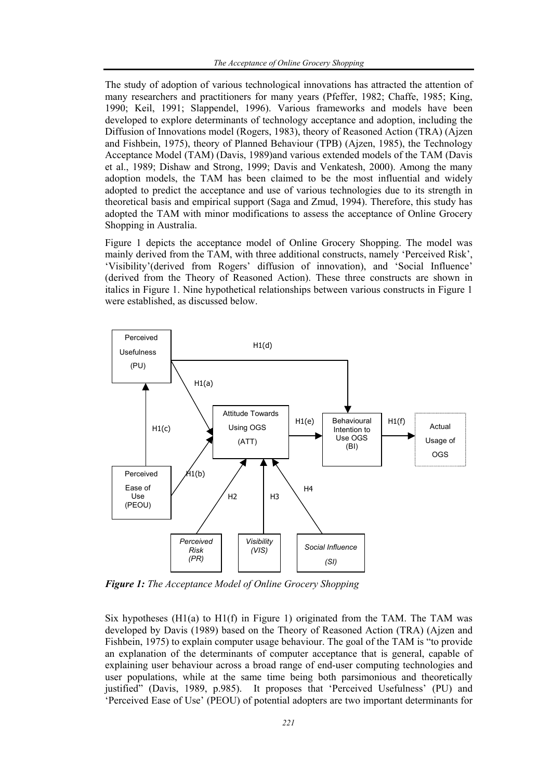The study of adoption of various technological innovations has attracted the attention of many researchers and practitioners for many years (Pfeffer, 1982; Chaffe, 1985; King, 1990; Keil, 1991; Slappendel, 1996). Various frameworks and models have been developed to explore determinants of technology acceptance and adoption, including the Diffusion of Innovations model (Rogers, 1983), theory of Reasoned Action (TRA) (Ajzen and Fishbein, 1975), theory of Planned Behaviour (TPB) (Ajzen, 1985), the Technology Acceptance Model (TAM) (Davis, 1989)and various extended models of the TAM (Davis et al., 1989; Dishaw and Strong, 1999; Davis and Venkatesh, 2000). Among the many adoption models, the TAM has been claimed to be the most influential and widely adopted to predict the acceptance and use of various technologies due to its strength in theoretical basis and empirical support (Saga and Zmud, 1994). Therefore, this study has adopted the TAM with minor modifications to assess the acceptance of Online Grocery Shopping in Australia.

Figure 1 depicts the acceptance model of Online Grocery Shopping. The model was mainly derived from the TAM, with three additional constructs, namely 'Perceived Risk', 'Visibility'(derived from Rogers' diffusion of innovation), and 'Social Influence' (derived from the Theory of Reasoned Action). These three constructs are shown in italics in Figure 1. Nine hypothetical relationships between various constructs in Figure 1 were established, as discussed below.



*Figure 1: The Acceptance Model of Online Grocery Shopping* 

Six hypotheses  $(H1(a)$  to  $H1(f)$  in Figure 1) originated from the TAM. The TAM was developed by Davis (1989) based on the Theory of Reasoned Action (TRA) (Ajzen and Fishbein, 1975) to explain computer usage behaviour. The goal of the TAM is "to provide an explanation of the determinants of computer acceptance that is general, capable of explaining user behaviour across a broad range of end-user computing technologies and user populations, while at the same time being both parsimonious and theoretically justified" (Davis, 1989, p.985). It proposes that 'Perceived Usefulness' (PU) and 'Perceived Ease of Use' (PEOU) of potential adopters are two important determinants for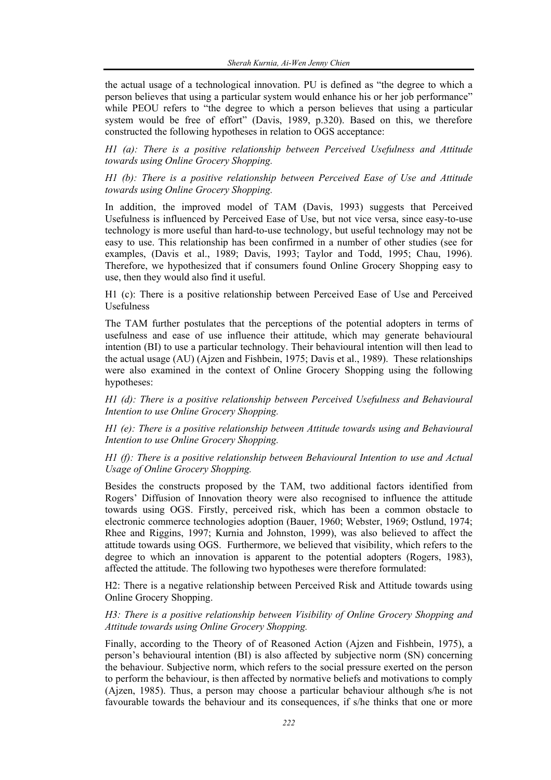the actual usage of a technological innovation. PU is defined as "the degree to which a person believes that using a particular system would enhance his or her job performance" while PEOU refers to "the degree to which a person believes that using a particular system would be free of effort" (Davis, 1989, p.320). Based on this, we therefore constructed the following hypotheses in relation to OGS acceptance:

*H1 (a): There is a positive relationship between Perceived Usefulness and Attitude towards using Online Grocery Shopping.* 

*H1 (b): There is a positive relationship between Perceived Ease of Use and Attitude towards using Online Grocery Shopping.* 

In addition, the improved model of TAM (Davis, 1993) suggests that Perceived Usefulness is influenced by Perceived Ease of Use, but not vice versa, since easy-to-use technology is more useful than hard-to-use technology, but useful technology may not be easy to use. This relationship has been confirmed in a number of other studies (see for examples, (Davis et al., 1989; Davis, 1993; Taylor and Todd, 1995; Chau, 1996). Therefore, we hypothesized that if consumers found Online Grocery Shopping easy to use, then they would also find it useful.

H1 (c): There is a positive relationship between Perceived Ease of Use and Perceived Usefulness

The TAM further postulates that the perceptions of the potential adopters in terms of usefulness and ease of use influence their attitude, which may generate behavioural intention (BI) to use a particular technology. Their behavioural intention will then lead to the actual usage (AU) (Ajzen and Fishbein, 1975; Davis et al., 1989). These relationships were also examined in the context of Online Grocery Shopping using the following hypotheses:

*H1 (d): There is a positive relationship between Perceived Usefulness and Behavioural Intention to use Online Grocery Shopping.* 

*H1 (e): There is a positive relationship between Attitude towards using and Behavioural Intention to use Online Grocery Shopping.* 

*H1 (f): There is a positive relationship between Behavioural Intention to use and Actual Usage of Online Grocery Shopping.* 

Besides the constructs proposed by the TAM, two additional factors identified from Rogers' Diffusion of Innovation theory were also recognised to influence the attitude towards using OGS. Firstly, perceived risk, which has been a common obstacle to electronic commerce technologies adoption (Bauer, 1960; Webster, 1969; Ostlund, 1974; Rhee and Riggins, 1997; Kurnia and Johnston, 1999), was also believed to affect the attitude towards using OGS. Furthermore, we believed that visibility, which refers to the degree to which an innovation is apparent to the potential adopters (Rogers, 1983), affected the attitude. The following two hypotheses were therefore formulated:

H2: There is a negative relationship between Perceived Risk and Attitude towards using Online Grocery Shopping.

*H3: There is a positive relationship between Visibility of Online Grocery Shopping and Attitude towards using Online Grocery Shopping.* 

Finally, according to the Theory of of Reasoned Action (Ajzen and Fishbein, 1975), a person's behavioural intention (BI) is also affected by subjective norm (SN) concerning the behaviour. Subjective norm, which refers to the social pressure exerted on the person to perform the behaviour, is then affected by normative beliefs and motivations to comply (Ajzen, 1985). Thus, a person may choose a particular behaviour although s/he is not favourable towards the behaviour and its consequences, if s/he thinks that one or more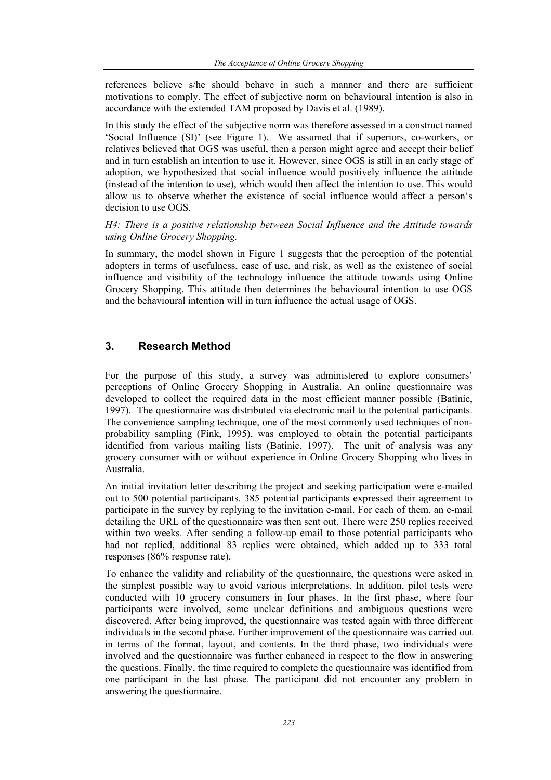references believe s/he should behave in such a manner and there are sufficient motivations to comply. The effect of subjective norm on behavioural intention is also in accordance with the extended TAM proposed by Davis et al. (1989).

In this study the effect of the subjective norm was therefore assessed in a construct named 'Social Influence (SI)' (see Figure 1). We assumed that if superiors, co-workers, or relatives believed that OGS was useful, then a person might agree and accept their belief and in turn establish an intention to use it. However, since OGS is still in an early stage of adoption, we hypothesized that social influence would positively influence the attitude (instead of the intention to use), which would then affect the intention to use. This would allow us to observe whether the existence of social influence would affect a person's decision to use OGS.

*H4: There is a positive relationship between Social Influence and the Attitude towards using Online Grocery Shopping.* 

In summary, the model shown in Figure 1 suggests that the perception of the potential adopters in terms of usefulness, ease of use, and risk, as well as the existence of social influence and visibility of the technology influence the attitude towards using Online Grocery Shopping. This attitude then determines the behavioural intention to use OGS and the behavioural intention will in turn influence the actual usage of OGS.

## **3. Research Method**

For the purpose of this study, a survey was administered to explore consumers' perceptions of Online Grocery Shopping in Australia. An online questionnaire was developed to collect the required data in the most efficient manner possible (Batinic, 1997). The questionnaire was distributed via electronic mail to the potential participants. The convenience sampling technique, one of the most commonly used techniques of nonprobability sampling (Fink, 1995), was employed to obtain the potential participants identified from various mailing lists (Batinic, 1997). The unit of analysis was any grocery consumer with or without experience in Online Grocery Shopping who lives in Australia.

An initial invitation letter describing the project and seeking participation were e-mailed out to 500 potential participants. 385 potential participants expressed their agreement to participate in the survey by replying to the invitation e-mail. For each of them, an e-mail detailing the URL of the questionnaire was then sent out. There were 250 replies received within two weeks. After sending a follow-up email to those potential participants who had not replied, additional 83 replies were obtained, which added up to 333 total responses (86% response rate).

To enhance the validity and reliability of the questionnaire, the questions were asked in the simplest possible way to avoid various interpretations. In addition, pilot tests were conducted with 10 grocery consumers in four phases. In the first phase, where four participants were involved, some unclear definitions and ambiguous questions were discovered. After being improved, the questionnaire was tested again with three different individuals in the second phase. Further improvement of the questionnaire was carried out in terms of the format, layout, and contents. In the third phase, two individuals were involved and the questionnaire was further enhanced in respect to the flow in answering the questions. Finally, the time required to complete the questionnaire was identified from one participant in the last phase. The participant did not encounter any problem in answering the questionnaire.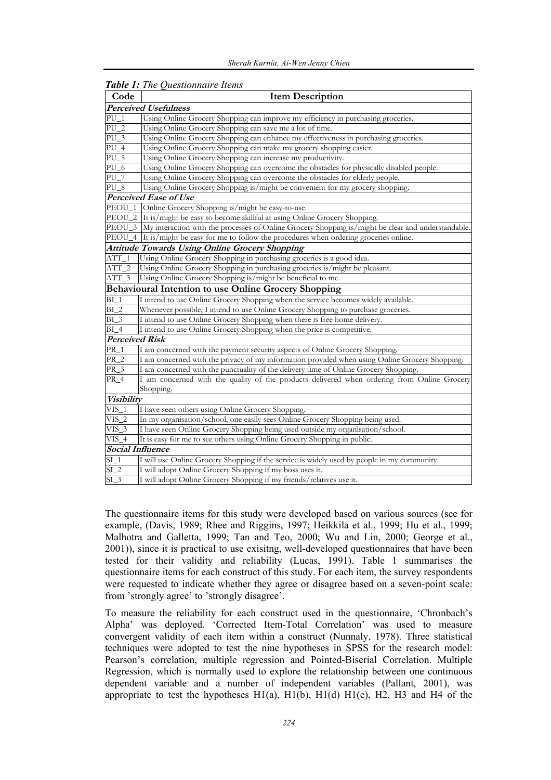| Code                  | $\omega_{\nu}$ . The guadrature extends<br><b>Item Description</b>                                        |
|-----------------------|-----------------------------------------------------------------------------------------------------------|
|                       | <b>Perceived Usefulness</b>                                                                               |
| $PU_1$                | Using Online Grocery Shopping can improve my efficiency in purchasing groceries.                          |
| $PU_2$                | Using Online Grocery Shopping can save me a lot of time.                                                  |
| $\overline{PU_3}$     | Using Online Grocery Shopping can enhance my effectiveness in purchasing groceries.                       |
| $PU_4$                | Using Online Grocery Shopping can make my grocery shopping easier.                                        |
| $PU_5$                | Using Online Grocery Shopping can increase my productivity.                                               |
| $PU_6$                | Using Online Grocery Shopping can overcome the obstacles for physically disabled people.                  |
| $PU_7$                | Using Online Grocery Shopping can overcome the obstacles for elderly people.                              |
| $PU_8$                | Using Online Grocery Shopping is/might be convenient for my grocery shopping.                             |
|                       | Perceived Ease of Use                                                                                     |
| PEOU                  | Online Grocery Shopping is/might be easy-to-use.                                                          |
| PEOU_2                | It is/might be easy to become skillful at using Online Grocery Shopping.                                  |
|                       | PEOU_3 My interaction with the processes of Online Grocery Shopping is/might be clear and understandable. |
|                       | PEOU_4 It is/might be easy for me to follow the procedures when ordering groceries online.                |
|                       | <b>Attitude Towards Using Online Grocery Shopping</b>                                                     |
| $ATT_1$               | Using Online Grocery Shopping in purchasing groceries is a good idea.                                     |
| $ATT_2$               | Using Online Grocery Shopping in purchasing groceries is/might be pleasant.                               |
| $ATT_3$               | Using Online Grocery Shopping is/might be beneficial to me.                                               |
|                       | <b>Behavioural Intention to use Online Grocery Shopping</b>                                               |
| BI <sub>1</sub>       | I intend to use Online Grocery Shopping when the service becomes widely available.                        |
| $BI_2$                | Whenever possible, I intend to use Online Grocery Shopping to purchase groceries.                         |
| $BI_3$                | I intend to use Online Grocery Shopping when there is free home delivery.                                 |
| $BI_4$                | I intend to use Online Grocery Shopping when the price is competitive.                                    |
| <b>Perceived Risk</b> |                                                                                                           |
| PR <sub>1</sub>       | I am concerned with the payment security aspects of Online Grocery Shopping.                              |
| $PR_2$                | I am concerned with the privacy of my information provided when using Online Grocery Shopping.            |
| $PR_3$                | I am concerned with the punctuality of the delivery time of Online Grocery Shopping.                      |
| PR_4                  | I am concerned with the quality of the products delivered when ordering from Online Grocery               |
|                       | Shopping.                                                                                                 |
| <b>Visibility</b>     |                                                                                                           |
| $VIS_1$               | I have seen others using Online Grocery Shopping.                                                         |
| $VIS_2$               | In my organisation/school, one easily sees Online Grocery Shopping being used.                            |
| $VIS_3$               | I have seen Online Grocery Shopping being used outside my organisation/school.                            |
| $VIS_4$               | It is easy for me to see others using Online Grocery Shopping in public.                                  |
| Social Influence      |                                                                                                           |
| $SI_1$                | I will use Online Grocery Shopping if the service is widely used by people in my community.               |
| $SI_2$                | I will adopt Online Grocery Shopping if my boss uses it.                                                  |
| $SI_3$                | I will adopt Online Grocery Shopping if my friends/relatives use it.                                      |

## *Table 1: The Questionnaire Items*

The questionnaire items for this study were developed based on various sources (see for example, (Davis, 1989; Rhee and Riggins, 1997; Heikkila et al., 1999; Hu et al., 1999; Malhotra and Galletta, 1999; Tan and Teo, 2000; Wu and Lin, 2000; George et al., 2001)), since it is practical to use exisitng, well-developed questionnaires that have been tested for their validity and reliability (Lucas, 1991). Table 1 summarises the questionnaire items for each construct of this study. For each item, the survey respondents were requested to indicate whether they agree or disagree based on a seven-point scale: from 'strongly agree' to 'strongly disagree'.

To measure the reliability for each construct used in the questionnaire, 'Chronbach's Alpha' was deployed. 'Corrected Item-Total Correlation' was used to measure convergent validity of each item within a construct (Nunnaly, 1978). Three statistical techniques were adopted to test the nine hypotheses in SPSS for the research model: Pearson's correlation, multiple regression and Pointed-Biserial Correlation. Multiple Regression, which is normally used to explore the relationship between one continuous dependent variable and a number of independent variables (Pallant, 2001), was appropriate to test the hypotheses  $H1(a)$ ,  $H1(b)$ ,  $H1(d)$   $H1(e)$ ,  $H2$ ,  $H3$  and  $H4$  of the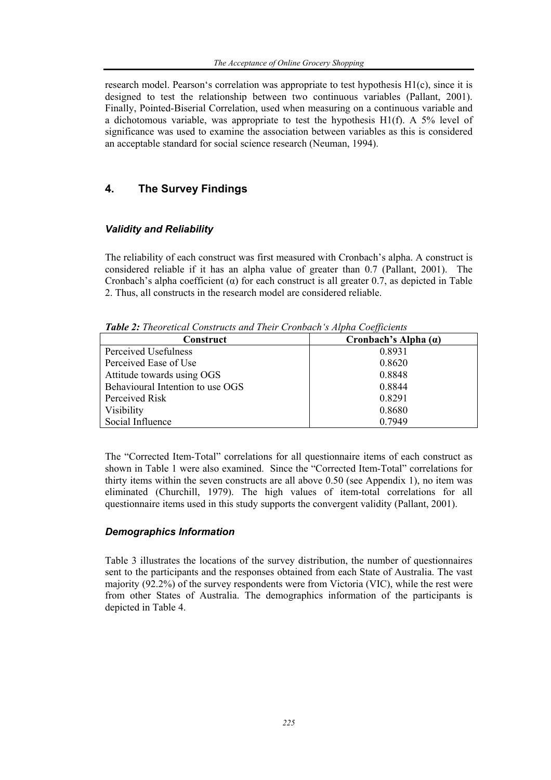research model. Pearson's correlation was appropriate to test hypothesis H1(c), since it is designed to test the relationship between two continuous variables (Pallant, 2001). Finally, Pointed-Biserial Correlation, used when measuring on a continuous variable and a dichotomous variable, was appropriate to test the hypothesis  $H1(f)$ . A 5% level of significance was used to examine the association between variables as this is considered an acceptable standard for social science research (Neuman, 1994).

# **4. The Survey Findings**

## *Validity and Reliability*

The reliability of each construct was first measured with Cronbach's alpha. A construct is considered reliable if it has an alpha value of greater than 0.7 (Pallant, 2001). The Cronbach's alpha coefficient  $(\alpha)$  for each construct is all greater 0.7, as depicted in Table 2. Thus, all constructs in the research model are considered reliable.

*Table 2: Theoretical Constructs and Their Cronbach's Alpha Coefficients* 

| Construct                        | Cronbach's Alpha $(a)$ |
|----------------------------------|------------------------|
| Perceived Usefulness             | 0.8931                 |
| Perceived Ease of Use            | 0.8620                 |
| Attitude towards using OGS       | 0.8848                 |
| Behavioural Intention to use OGS | 0.8844                 |
| Perceived Risk                   | 0.8291                 |
| <b>Visibility</b>                | 0.8680                 |
| Social Influence                 | 0.7949                 |

The "Corrected Item-Total" correlations for all questionnaire items of each construct as shown in Table 1 were also examined. Since the "Corrected Item-Total" correlations for thirty items within the seven constructs are all above 0.50 (see Appendix 1), no item was eliminated (Churchill, 1979). The high values of item-total correlations for all questionnaire items used in this study supports the convergent validity (Pallant, 2001).

## *Demographics Information*

Table 3 illustrates the locations of the survey distribution, the number of questionnaires sent to the participants and the responses obtained from each State of Australia. The vast majority (92.2%) of the survey respondents were from Victoria (VIC), while the rest were from other States of Australia. The demographics information of the participants is depicted in Table 4.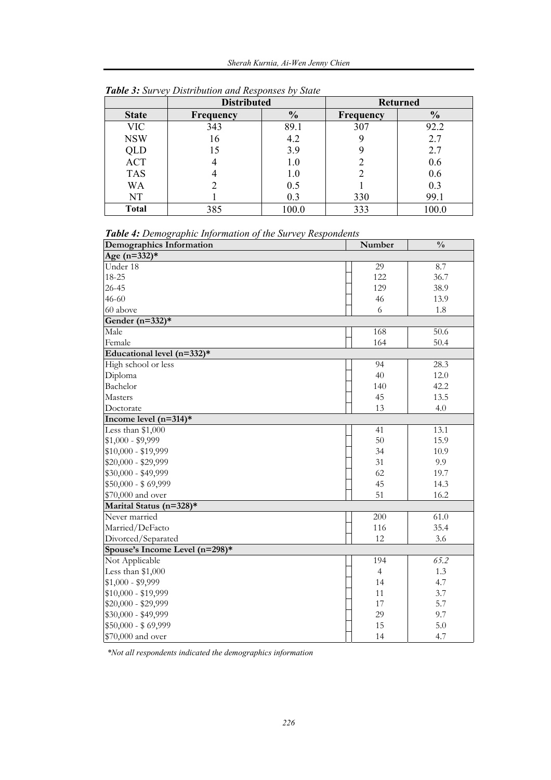|              | <b>Distributed</b> |               |                  | <b>Returned</b> |
|--------------|--------------------|---------------|------------------|-----------------|
| <b>State</b> | <b>Frequency</b>   | $\frac{0}{0}$ | <b>Frequency</b> | $\frac{0}{0}$   |
| <b>VIC</b>   | 343                | 89.1          | 307              | 92.2            |
| <b>NSW</b>   | 16                 | 4.2           |                  | 2.7             |
| QLD          | 15                 | 3.9           |                  | 2.7             |
| <b>ACT</b>   |                    | 1.0           |                  | 0.6             |
| <b>TAS</b>   |                    | 1.0           |                  | 0.6             |
| WA           |                    | 0.5           |                  | 0.3             |
| NT           |                    | 0.3           | 330              | 99.1            |
| <b>Total</b> | 385                | 100.0         | 333              | 100.0           |

*Table 3: Survey Distribution and Responses by State* 

*Table 4: Demographic Information of the Survey Respondents* 

| Demographics Information       | Number         | $\frac{0}{0}$ |
|--------------------------------|----------------|---------------|
| Age $(n=332)*$                 |                |               |
| Under 18                       | 29             | 8.7           |
| 18-25                          | 122            | 36.7          |
| $26 - 45$                      | 129            | 38.9          |
| $46 - 60$                      | 46             | 13.9          |
| 60 above                       | 6              | 1.8           |
| Gender $(n=332)*$              |                |               |
| Male                           | 168            | 50.6          |
| Female                         | 164            | 50.4          |
| Educational level (n=332)*     |                |               |
| High school or less            | 94             | 28.3          |
| Diploma                        | 40             | 12.0          |
| Bachelor                       | 140            | 42.2          |
| Masters                        | 45             | 13.5          |
| Doctorate                      | 13             | 4.0           |
| Income level $(n=314)*$        |                |               |
| Less than \$1,000              | 41             | 13.1          |
| $$1,000 - $9,999$              | 50             | 15.9          |
| \$10,000 - \$19,999            | 34             | 10.9          |
| \$20,000 - \$29,999            | 31             | 9.9           |
| \$30,000 - \$49,999            | 62             | 19.7          |
| \$50,000 - \$69,999            | 45             | 14.3          |
| \$70,000 and over              | 51             | 16.2          |
| Marital Status (n=328)*        |                |               |
| Never married                  | 200            | 61.0          |
| Married/DeFacto                | 116            | 35.4          |
| Divorced/Separated             | 12             | 3.6           |
| Spouse's Income Level (n=298)* |                |               |
| Not Applicable                 | 194            | 65.2          |
| Less than \$1,000              | $\overline{4}$ | 1.3           |
| $$1,000 - $9,999$              | 14             | 4.7           |
| $$10,000 - $19,999$            | 11             | 3.7           |
| \$20,000 - \$29,999            | 17             | 5.7           |
| \$30,000 - \$49,999            | 29             | 9.7           |
| $$50,000 - $69,999$            | 15             | 5.0           |
| \$70,000 and over              | 14             | 4.7           |

 *\*Not all respondents indicated the demographics information*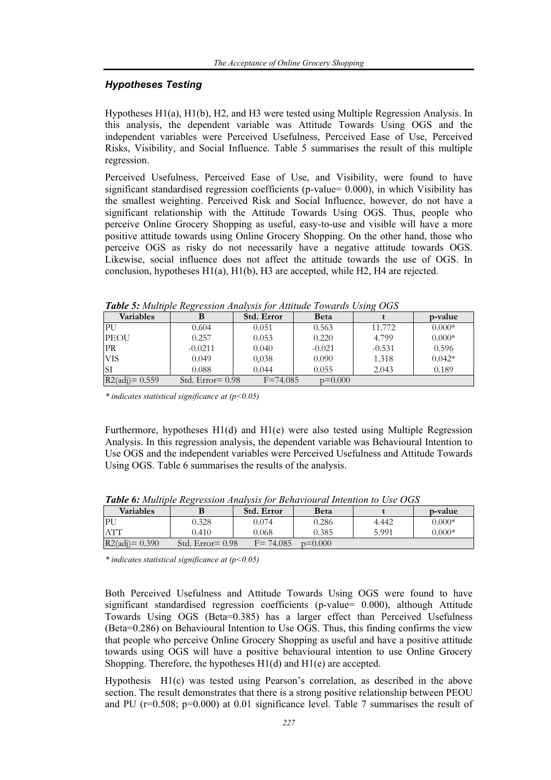## *Hypotheses Testing*

Hypotheses H1(a), H1(b), H2, and H3 were tested using Multiple Regression Analysis. In this analysis, the dependent variable was Attitude Towards Using OGS and the independent variables were Perceived Usefulness, Perceived Ease of Use, Perceived Risks, Visibility, and Social Influence. Table 5 summarises the result of this multiple regression.

Perceived Usefulness, Perceived Ease of Use, and Visibility, were found to have significant standardised regression coefficients (p-value= 0.000), in which Visibility has the smallest weighting. Perceived Risk and Social Influence, however, do not have a significant relationship with the Attitude Towards Using OGS. Thus, people who perceive Online Grocery Shopping as useful, easy-to-use and visible will have a more positive attitude towards using Online Grocery Shopping. On the other hand, those who perceive OGS as risky do not necessarily have a negative attitude towards OGS. Likewise, social influence does not affect the attitude towards the use of OGS. In conclusion, hypotheses H1(a), H1(b), H3 are accepted, while H2, H4 are rejected.

| $\frac{1}{2}$ . There is a strip is the start of $\frac{1}{2}$ |                     |              |             |          |          |  |
|----------------------------------------------------------------|---------------------|--------------|-------------|----------|----------|--|
| <b>Variables</b>                                               |                     | Std. Error   | <b>Beta</b> |          | p-value  |  |
| PU                                                             | 0.604               | 0.051        | 0.563       | 11.772   | $0.000*$ |  |
| <b>PEOU</b>                                                    | 0.257               | 0.053        | 0.220       | 4.799    | $0.000*$ |  |
| <b>PR</b>                                                      | $-0.0211$           | 0.040        | $-0.021$    | $-0.531$ | 0.596    |  |
| <b>VIS</b>                                                     | 0.049               | 0,038        | 0.090       | 1.318    | $0.042*$ |  |
|                                                                | 0.088               | 0.044        | 0.055       | 2.043    | 0.189    |  |
| $R2\text{(adj)} = 0.559$                                       | Std. Error $= 0.98$ | $F = 74.085$ | $p=0.000$   |          |          |  |

*Table 5: Multiple Regression Analysis for Attitude Towards Using OGS* 

*\* indicates statistical significance at (p<0.05)* 

Furthermore, hypotheses H1(d) and H1(e) were also tested using Multiple Regression Analysis. In this regression analysis, the dependent variable was Behavioural Intention to Use OGS and the independent variables were Perceived Usefulness and Attitude Towards Using OGS. Table 6 summarises the results of the analysis.

| <b>Variables</b>  |                     | Std. Error   | Beta      |       | p-value  |
|-------------------|---------------------|--------------|-----------|-------|----------|
| PU                | 0.328               | 0.074        | 0.286     | 4.442 | $0.000*$ |
| <b>ATT</b>        | 0.410               | 0.068        | 0.385     | 5.991 | $0.000*$ |
| $R2(adi) = 0.390$ | Std. $Error = 0.98$ | $F = 74.085$ | $n=0.000$ |       |          |

*Table 6: Multiple Regression Analysis for Behavioural Intention to Use OGS* 

*\* indicates statistical significance at (p<0.05)* 

Both Perceived Usefulness and Attitude Towards Using OGS were found to have significant standardised regression coefficients (p-value= 0.000), although Attitude Towards Using OGS (Beta=0.385) has a larger effect than Perceived Usefulness (Beta=0.286) on Behavioural Intention to Use OGS. Thus, this finding confirms the view that people who perceive Online Grocery Shopping as useful and have a positive attitude towards using OGS will have a positive behavioural intention to use Online Grocery Shopping. Therefore, the hypotheses H1(d) and H1(e) are accepted.

Hypothesis H1(c) was tested using Pearson's correlation, as described in the above section. The result demonstrates that there is a strong positive relationship between PEOU and PU ( $r=0.508$ ;  $p=0.000$ ) at 0.01 significance level. Table 7 summarises the result of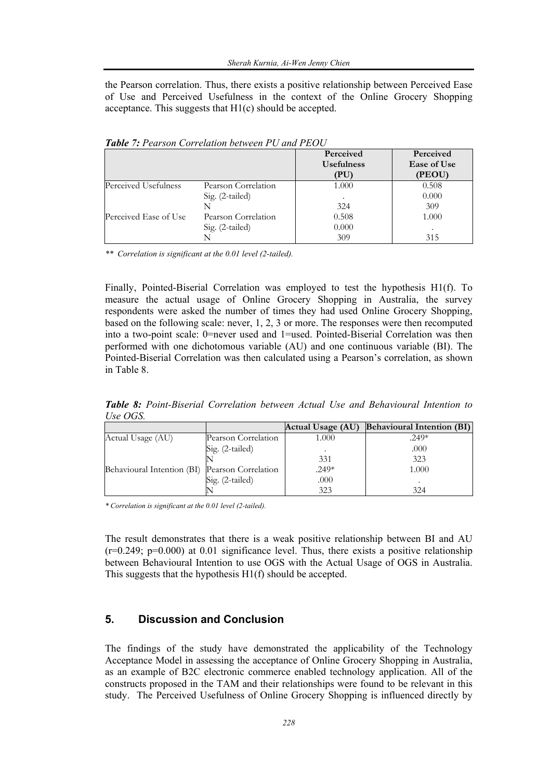the Pearson correlation. Thus, there exists a positive relationship between Perceived Ease of Use and Perceived Usefulness in the context of the Online Grocery Shopping acceptance. This suggests that H1(c) should be accepted.

|                       |                     | Perceived<br><b>Usefulness</b><br>(PU) | Perceived<br>Ease of Use<br>(PEOU) |
|-----------------------|---------------------|----------------------------------------|------------------------------------|
| Perceived Usefulness  | Pearson Correlation | 1.000                                  | 0.508                              |
|                       | Sig. (2-tailed)     |                                        | 0.000                              |
|                       |                     | 324                                    | 309                                |
| Perceived Ease of Use | Pearson Correlation | 0.508                                  | 1.000                              |
|                       | Sig. (2-tailed)     | 0.000                                  |                                    |
|                       |                     | 309                                    | 315                                |

*Table 7: Pearson Correlation between PU and PEOU* 

*\*\* Correlation is significant at the 0.01 level (2-tailed).* 

Finally, Pointed-Biserial Correlation was employed to test the hypothesis H1(f). To measure the actual usage of Online Grocery Shopping in Australia, the survey respondents were asked the number of times they had used Online Grocery Shopping, based on the following scale: never, 1, 2, 3 or more. The responses were then recomputed into a two-point scale: 0=never used and 1=used. Pointed-Biserial Correlation was then performed with one dichotomous variable (AU) and one continuous variable (BI). The Pointed-Biserial Correlation was then calculated using a Pearson's correlation, as shown in Table 8.

*Table 8: Point-Biserial Correlation between Actual Use and Behavioural Intention to Use OGS.* 

|                            |                     | Actual Usage (AU) | <b>Behavioural Intention (BI)</b> |
|----------------------------|---------------------|-------------------|-----------------------------------|
| Actual Usage (AU)          | Pearson Correlation | 1.000             | $.249*$                           |
|                            | Sig. (2-tailed)     |                   | .000                              |
|                            |                     | 331               | 323                               |
| Behavioural Intention (BI) | Pearson Correlation | $.249*$           | 1.000                             |
|                            | Sig. (2-tailed)     | .000              |                                   |
|                            |                     | 323               | 324                               |

*\* Correlation is significant at the 0.01 level (2-tailed).* 

The result demonstrates that there is a weak positive relationship between BI and AU  $(r=0.249; p=0.000)$  at 0.01 significance level. Thus, there exists a positive relationship between Behavioural Intention to use OGS with the Actual Usage of OGS in Australia. This suggests that the hypothesis H1(f) should be accepted.

## **5. Discussion and Conclusion**

The findings of the study have demonstrated the applicability of the Technology Acceptance Model in assessing the acceptance of Online Grocery Shopping in Australia, as an example of B2C electronic commerce enabled technology application. All of the constructs proposed in the TAM and their relationships were found to be relevant in this study. The Perceived Usefulness of Online Grocery Shopping is influenced directly by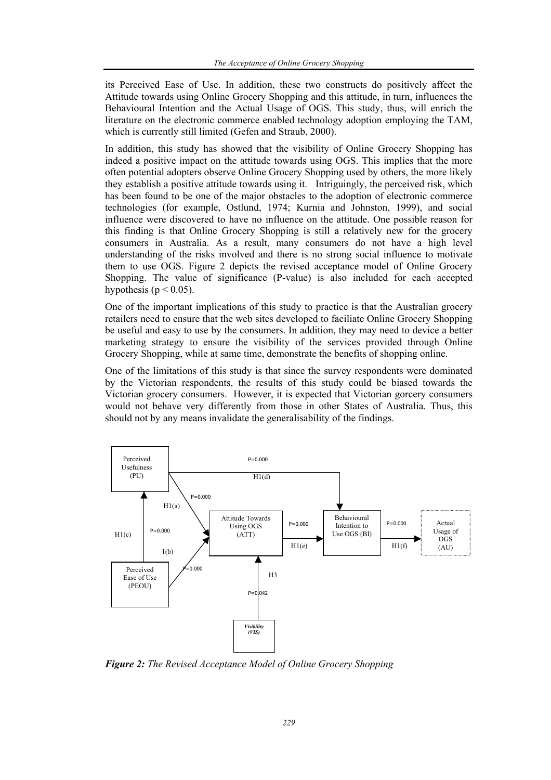its Perceived Ease of Use. In addition, these two constructs do positively affect the Attitude towards using Online Grocery Shopping and this attitude, in turn, influences the Behavioural Intention and the Actual Usage of OGS. This study, thus, will enrich the literature on the electronic commerce enabled technology adoption employing the TAM, which is currently still limited (Gefen and Straub, 2000).

In addition, this study has showed that the visibility of Online Grocery Shopping has indeed a positive impact on the attitude towards using OGS. This implies that the more often potential adopters observe Online Grocery Shopping used by others, the more likely they establish a positive attitude towards using it. Intriguingly, the perceived risk, which has been found to be one of the major obstacles to the adoption of electronic commerce technologies (for example, Ostlund, 1974; Kurnia and Johnston, 1999), and social influence were discovered to have no influence on the attitude. One possible reason for this finding is that Online Grocery Shopping is still a relatively new for the grocery consumers in Australia. As a result, many consumers do not have a high level understanding of the risks involved and there is no strong social influence to motivate them to use OGS. Figure 2 depicts the revised acceptance model of Online Grocery Shopping. The value of significance (P-value) is also included for each accepted hypothesis ( $p < 0.05$ ).

One of the important implications of this study to practice is that the Australian grocery retailers need to ensure that the web sites developed to faciliate Online Grocery Shopping be useful and easy to use by the consumers. In addition, they may need to device a better marketing strategy to ensure the visibility of the services provided through Online Grocery Shopping, while at same time, demonstrate the benefits of shopping online.

One of the limitations of this study is that since the survey respondents were dominated by the Victorian respondents, the results of this study could be biased towards the Victorian grocery consumers. However, it is expected that Victorian gorcery consumers would not behave very differently from those in other States of Australia. Thus, this should not by any means invalidate the generalisability of the findings.



*Figure 2: The Revised Acceptance Model of Online Grocery Shopping*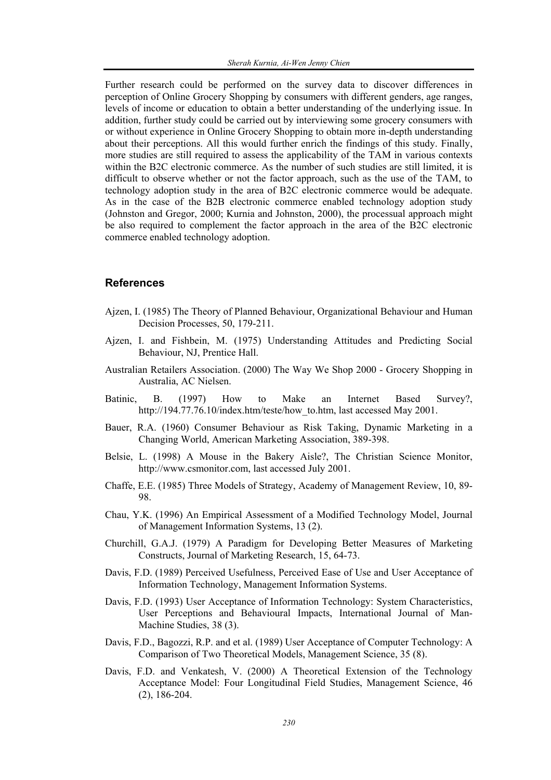Further research could be performed on the survey data to discover differences in perception of Online Grocery Shopping by consumers with different genders, age ranges, levels of income or education to obtain a better understanding of the underlying issue. In addition, further study could be carried out by interviewing some grocery consumers with or without experience in Online Grocery Shopping to obtain more in-depth understanding about their perceptions. All this would further enrich the findings of this study. Finally, more studies are still required to assess the applicability of the TAM in various contexts within the B2C electronic commerce. As the number of such studies are still limited, it is difficult to observe whether or not the factor approach, such as the use of the TAM, to technology adoption study in the area of B2C electronic commerce would be adequate. As in the case of the B2B electronic commerce enabled technology adoption study (Johnston and Gregor, 2000; Kurnia and Johnston, 2000), the processual approach might be also required to complement the factor approach in the area of the B2C electronic commerce enabled technology adoption.

### **References**

- Ajzen, I. (1985) The Theory of Planned Behaviour, Organizational Behaviour and Human Decision Processes, 50, 179-211.
- Ajzen, I. and Fishbein, M. (1975) Understanding Attitudes and Predicting Social Behaviour, NJ, Prentice Hall.
- Australian Retailers Association. (2000) The Way We Shop 2000 Grocery Shopping in Australia, AC Nielsen.
- Batinic, B. (1997) How to Make an Internet Based Survey?, http://194.77.76.10/index.htm/teste/how\_to.htm, last accessed May 2001.
- Bauer, R.A. (1960) Consumer Behaviour as Risk Taking, Dynamic Marketing in a Changing World, American Marketing Association, 389-398.
- Belsie, L. (1998) A Mouse in the Bakery Aisle?, The Christian Science Monitor, http://www.csmonitor.com, last accessed July 2001.
- Chaffe, E.E. (1985) Three Models of Strategy, Academy of Management Review, 10, 89- 98.
- Chau, Y.K. (1996) An Empirical Assessment of a Modified Technology Model, Journal of Management Information Systems, 13 (2).
- Churchill, G.A.J. (1979) A Paradigm for Developing Better Measures of Marketing Constructs, Journal of Marketing Research, 15, 64-73.
- Davis, F.D. (1989) Perceived Usefulness, Perceived Ease of Use and User Acceptance of Information Technology, Management Information Systems.
- Davis, F.D. (1993) User Acceptance of Information Technology: System Characteristics, User Perceptions and Behavioural Impacts, International Journal of Man-Machine Studies, 38 (3).
- Davis, F.D., Bagozzi, R.P. and et al. (1989) User Acceptance of Computer Technology: A Comparison of Two Theoretical Models, Management Science, 35 (8).
- Davis, F.D. and Venkatesh, V. (2000) A Theoretical Extension of the Technology Acceptance Model: Four Longitudinal Field Studies, Management Science, 46 (2), 186-204.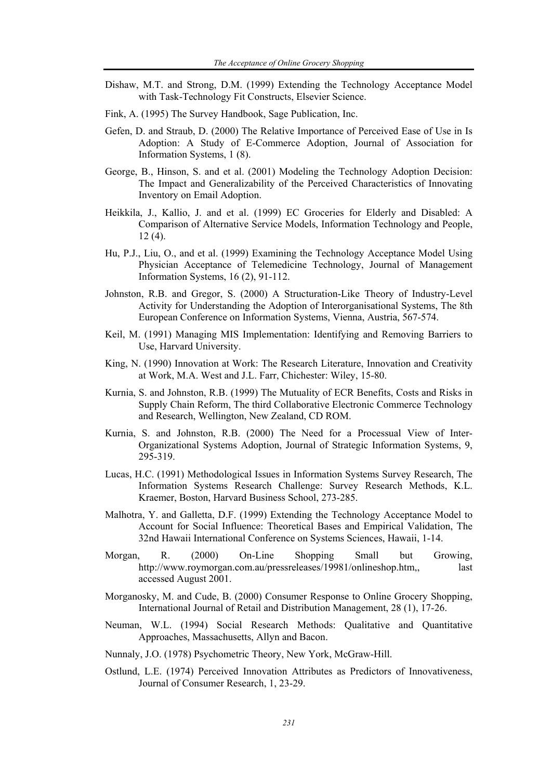- Dishaw, M.T. and Strong, D.M. (1999) Extending the Technology Acceptance Model with Task-Technology Fit Constructs, Elsevier Science.
- Fink, A. (1995) The Survey Handbook, Sage Publication, Inc.
- Gefen, D. and Straub, D. (2000) The Relative Importance of Perceived Ease of Use in Is Adoption: A Study of E-Commerce Adoption, Journal of Association for Information Systems, 1 (8).
- George, B., Hinson, S. and et al. (2001) Modeling the Technology Adoption Decision: The Impact and Generalizability of the Perceived Characteristics of Innovating Inventory on Email Adoption.
- Heikkila, J., Kallio, J. and et al. (1999) EC Groceries for Elderly and Disabled: A Comparison of Alternative Service Models, Information Technology and People, 12 (4).
- Hu, P.J., Liu, O., and et al. (1999) Examining the Technology Acceptance Model Using Physician Acceptance of Telemedicine Technology, Journal of Management Information Systems, 16 (2), 91-112.
- Johnston, R.B. and Gregor, S. (2000) A Structuration-Like Theory of Industry-Level Activity for Understanding the Adoption of Interorganisational Systems, The 8th European Conference on Information Systems, Vienna, Austria, 567-574.
- Keil, M. (1991) Managing MIS Implementation: Identifying and Removing Barriers to Use, Harvard University.
- King, N. (1990) Innovation at Work: The Research Literature, Innovation and Creativity at Work, M.A. West and J.L. Farr, Chichester: Wiley, 15-80.
- Kurnia, S. and Johnston, R.B. (1999) The Mutuality of ECR Benefits, Costs and Risks in Supply Chain Reform, The third Collaborative Electronic Commerce Technology and Research, Wellington, New Zealand, CD ROM.
- Kurnia, S. and Johnston, R.B. (2000) The Need for a Processual View of Inter-Organizational Systems Adoption, Journal of Strategic Information Systems, 9, 295-319.
- Lucas, H.C. (1991) Methodological Issues in Information Systems Survey Research, The Information Systems Research Challenge: Survey Research Methods, K.L. Kraemer, Boston, Harvard Business School, 273-285.
- Malhotra, Y. and Galletta, D.F. (1999) Extending the Technology Acceptance Model to Account for Social Influence: Theoretical Bases and Empirical Validation, The 32nd Hawaii International Conference on Systems Sciences, Hawaii, 1-14.
- Morgan, R. (2000) On-Line Shopping Small but Growing, http://www.roymorgan.com.au/pressreleases/19981/onlineshop.htm,, last accessed August 2001.
- Morganosky, M. and Cude, B. (2000) Consumer Response to Online Grocery Shopping, International Journal of Retail and Distribution Management, 28 (1), 17-26.
- Neuman, W.L. (1994) Social Research Methods: Qualitative and Quantitative Approaches, Massachusetts, Allyn and Bacon.
- Nunnaly, J.O. (1978) Psychometric Theory, New York, McGraw-Hill.
- Ostlund, L.E. (1974) Perceived Innovation Attributes as Predictors of Innovativeness, Journal of Consumer Research, 1, 23-29.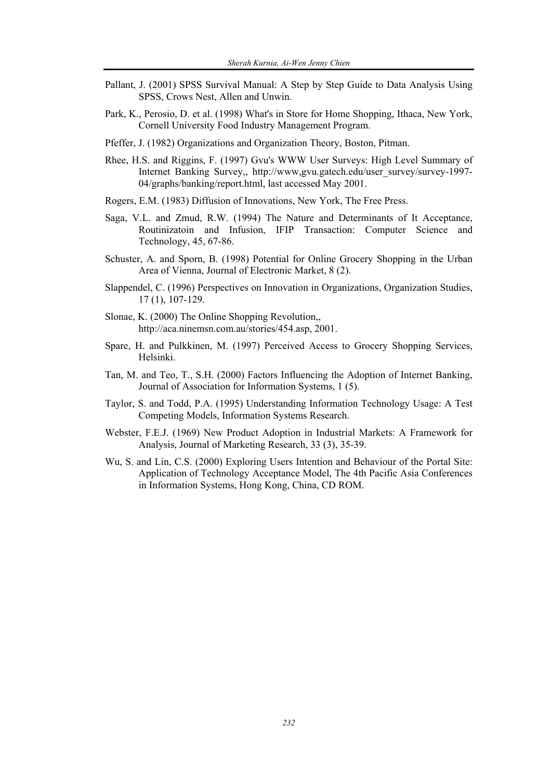- Pallant, J. (2001) SPSS Survival Manual: A Step by Step Guide to Data Analysis Using SPSS, Crows Nest, Allen and Unwin.
- Park, K., Perosio, D. et al. (1998) What's in Store for Home Shopping, Ithaca, New York, Cornell University Food Industry Management Program.
- Pfeffer, J. (1982) Organizations and Organization Theory, Boston, Pitman.
- Rhee, H.S. and Riggins, F. (1997) Gvu's WWW User Surveys: High Level Summary of Internet Banking Survey,, http://www,gvu.gatech.edu/user\_survey/survey-1997- 04/graphs/banking/report.html, last accessed May 2001.
- Rogers, E.M. (1983) Diffusion of Innovations, New York, The Free Press.
- Saga, V.L. and Zmud, R.W. (1994) The Nature and Determinants of It Acceptance, Routinizatoin and Infusion, IFIP Transaction: Computer Science and Technology, 45, 67-86.
- Schuster, A. and Sporn, B. (1998) Potential for Online Grocery Shopping in the Urban Area of Vienna, Journal of Electronic Market, 8 (2).
- Slappendel, C. (1996) Perspectives on Innovation in Organizations, Organization Studies, 17 (1), 107-129.
- Slonae, K. (2000) The Online Shopping Revolution,, http://aca.ninemsn.com.au/stories/454.asp, 2001.
- Spare, H. and Pulkkinen, M. (1997) Perceived Access to Grocery Shopping Services, Helsinki.
- Tan, M. and Teo, T., S.H. (2000) Factors Influencing the Adoption of Internet Banking, Journal of Association for Information Systems, 1 (5).
- Taylor, S. and Todd, P.A. (1995) Understanding Information Technology Usage: A Test Competing Models, Information Systems Research.
- Webster, F.E.J. (1969) New Product Adoption in Industrial Markets: A Framework for Analysis, Journal of Marketing Research, 33 (3), 35-39.
- Wu, S. and Lin, C.S. (2000) Exploring Users Intention and Behaviour of the Portal Site: Application of Technology Acceptance Model, The 4th Pacific Asia Conferences in Information Systems, Hong Kong, China, CD ROM.